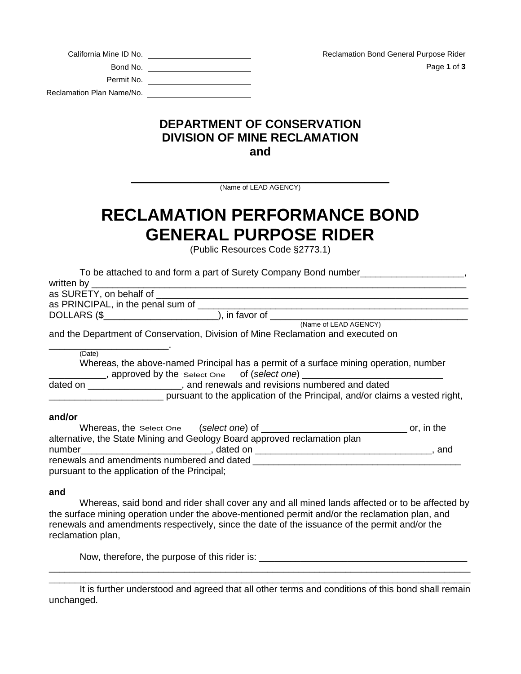| <b>Reclamation Bond General Purpose Rider</b> | California Mine ID No. |                           |
|-----------------------------------------------|------------------------|---------------------------|
| Page 1 of 3                                   | Bond No.               |                           |
|                                               | Permit No.             |                           |
|                                               |                        | Reclamation Plan Name/No. |

## **DEPARTMENT OF CONSERVATION DIVISION OF MINE RECLAMATION and**

**\_\_\_\_\_\_\_\_\_\_\_\_\_\_\_\_\_\_\_\_\_\_\_\_\_\_\_\_\_\_\_\_\_\_\_\_\_\_\_\_\_\_** (Name of LEAD AGENCY)

# **RECLAMATION PERFORMANCE BOND GENERAL PURPOSE RIDER**

(Public Resources Code §2773.1)

| To be attached to and form a part of Surety Company Bond number                                                                                                                                                                |  |
|--------------------------------------------------------------------------------------------------------------------------------------------------------------------------------------------------------------------------------|--|
| written by the control of the control of the control of the control of the control of the control of the control of the control of the control of the control of the control of the control of the control of the control of t |  |
|                                                                                                                                                                                                                                |  |
|                                                                                                                                                                                                                                |  |
| DOLLARS (\$________________________), in favor of _______________________________                                                                                                                                              |  |
| (Name of LEAD AGENCY)                                                                                                                                                                                                          |  |
| and the Department of Conservation, Division of Mine Reclamation and executed on                                                                                                                                               |  |
| (Date)                                                                                                                                                                                                                         |  |
| Whereas, the above-named Principal has a permit of a surface mining operation, number<br>___________, approved by the select One of (select one) ________________________                                                      |  |
| dated on ______________________, and renewals and revisions numbered and dated                                                                                                                                                 |  |
| pursuant to the application of the Principal, and/or claims a vested right,                                                                                                                                                    |  |
| and/or                                                                                                                                                                                                                         |  |
|                                                                                                                                                                                                                                |  |
| alternative, the State Mining and Geology Board approved reclamation plan                                                                                                                                                      |  |
|                                                                                                                                                                                                                                |  |
| renewals and amendments numbered and dated                                                                                                                                                                                     |  |

pursuant to the application of the Principal;

### **and**

Whereas, said bond and rider shall cover any and all mined lands affected or to be affected by the surface mining operation under the above-mentioned permit and/or the reclamation plan, and renewals and amendments respectively, since the date of the issuance of the permit and/or the reclamation plan,

Now, therefore, the purpose of this rider is: \_\_\_\_\_\_\_\_\_\_\_\_\_\_\_\_\_\_\_\_\_\_\_\_\_\_\_\_\_\_\_\_\_\_\_\_\_\_\_\_

\_\_\_\_\_\_\_\_\_\_\_\_\_\_\_\_\_\_\_\_\_\_\_\_\_\_\_\_\_\_\_\_\_\_\_\_\_\_\_\_\_\_\_\_\_\_\_\_\_\_\_\_\_\_\_\_\_\_\_\_\_\_\_\_\_\_\_\_\_\_\_\_\_\_\_\_\_\_\_\_\_ It is further understood and agreed that all other terms and conditions of this bond shall remain unchanged.

\_\_\_\_\_\_\_\_\_\_\_\_\_\_\_\_\_\_\_\_\_\_\_\_\_\_\_\_\_\_\_\_\_\_\_\_\_\_\_\_\_\_\_\_\_\_\_\_\_\_\_\_\_\_\_\_\_\_\_\_\_\_\_\_\_\_\_\_\_\_\_\_\_\_\_\_\_\_\_\_\_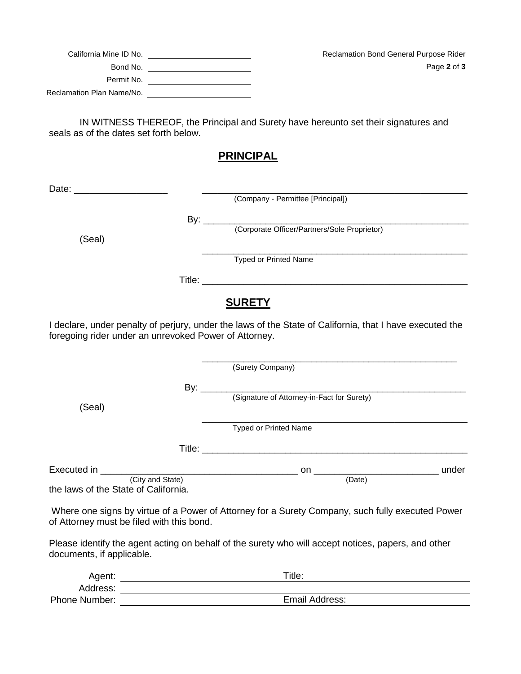| Reclamation Bond General Purpose Rider | California Mine ID No.    |
|----------------------------------------|---------------------------|
| Page 2 of 3                            | Bond No.                  |
|                                        | Permit No.                |
|                                        | Reclamation Plan Name/No. |

IN WITNESS THEREOF, the Principal and Surety have hereunto set their signatures and seals as of the dates set forth below.

## **PRINCIPAL**

|                                                                                                                                                                   | (Company - Permittee [Principal])            |  |  |  |
|-------------------------------------------------------------------------------------------------------------------------------------------------------------------|----------------------------------------------|--|--|--|
|                                                                                                                                                                   |                                              |  |  |  |
|                                                                                                                                                                   | (Corporate Officer/Partners/Sole Proprietor) |  |  |  |
| (Seal)                                                                                                                                                            |                                              |  |  |  |
|                                                                                                                                                                   | <b>Typed or Printed Name</b>                 |  |  |  |
|                                                                                                                                                                   |                                              |  |  |  |
| <b>SURETY</b>                                                                                                                                                     |                                              |  |  |  |
| I declare, under penalty of perjury, under the laws of the State of California, that I have executed the<br>foregoing rider under an unrevoked Power of Attorney. |                                              |  |  |  |
|                                                                                                                                                                   |                                              |  |  |  |
|                                                                                                                                                                   | (Surety Company)                             |  |  |  |
|                                                                                                                                                                   |                                              |  |  |  |
| (Seal)                                                                                                                                                            | (Signature of Attorney-in-Fact for Surety)   |  |  |  |
|                                                                                                                                                                   |                                              |  |  |  |

Typed or Printed Name

Title: \_\_\_\_\_\_\_\_\_\_\_\_\_\_\_\_\_\_\_\_\_\_\_\_\_\_\_\_\_\_\_\_\_\_\_\_\_\_\_\_\_\_\_\_\_\_\_\_\_\_\_

Executed in \_\_\_\_\_\_\_\_\_\_\_\_\_\_\_\_\_\_\_\_\_\_\_\_\_\_\_\_\_\_\_\_\_\_\_\_\_\_ on \_\_\_\_\_\_\_\_\_\_\_\_\_\_\_\_\_\_\_\_\_\_\_\_ under (City and State) (Date) the laws of the State of California.

Where one signs by virtue of a Power of Attorney for a Surety Company, such fully executed Power of Attorney must be filed with this bond.

Please identify the agent acting on behalf of the surety who will accept notices, papers, and other documents, if applicable.

| Agent:               | $\tau$ itle:   |
|----------------------|----------------|
| Address:             |                |
| <b>Phone Number:</b> | Email Address: |